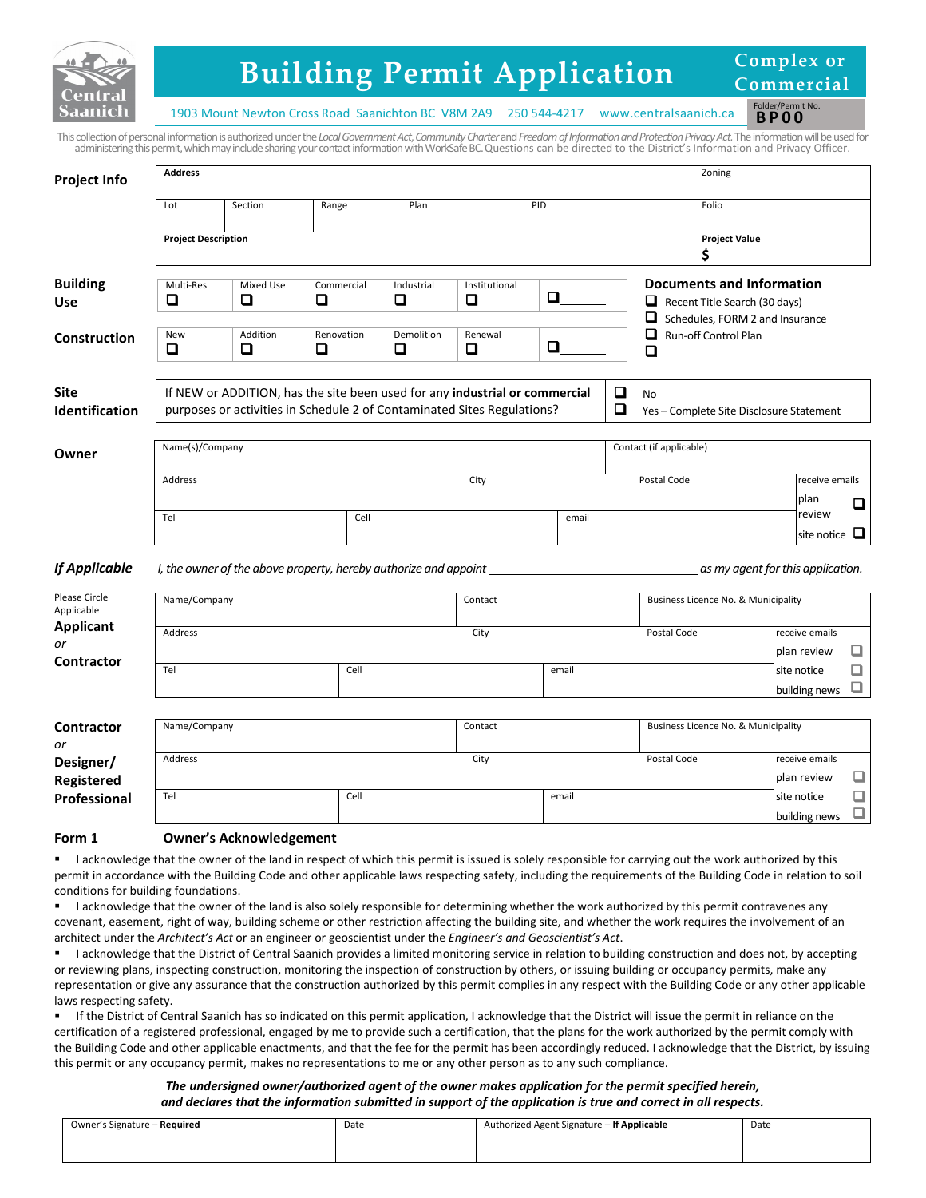

# **Building Permit Application**

**Complex or Commercial**

> Folder/Permit No. **BP00**

1903 Mount Newton Cross Road Saanichton BC V8M 2A9 250 544-4217 [www.centralsaanich.ca](http://www.csaanich.ca/)

This collection of personal information is authorized under the *Local Government Act*, *Community Charter*and *Freedom of Information and ProtectionPrivacy Act.*The information will be used for administering this permit, which may include sharing your contact information with WorkSafe BC.Questions can be directed to the District's Information and Privacy Officer.

| <b>Project Info</b>            | <b>Address</b>                                                                                                                                                                                                                      |                                                                  |                      |                      |              |             |                         |                                                                             |                                                                   | Zoning                              |                                   |                               |        |
|--------------------------------|-------------------------------------------------------------------------------------------------------------------------------------------------------------------------------------------------------------------------------------|------------------------------------------------------------------|----------------------|----------------------|--------------|-------------|-------------------------|-----------------------------------------------------------------------------|-------------------------------------------------------------------|-------------------------------------|-----------------------------------|-------------------------------|--------|
|                                | Lot                                                                                                                                                                                                                                 | Section                                                          | Range                | Plan                 |              |             | PID                     |                                                                             |                                                                   | Folio                               |                                   |                               |        |
|                                | <b>Project Description</b>                                                                                                                                                                                                          |                                                                  |                      |                      |              |             |                         |                                                                             |                                                                   | <b>Project Value</b><br>\$          |                                   |                               |        |
| <b>Building</b><br><b>Use</b>  | Multi-Res<br>❏                                                                                                                                                                                                                      | Mixed Use<br>◘                                                   | Industrial<br>$\Box$ | Institutional<br>❏   | Q            |             |                         |                                                                             | <b>Documents and Information</b><br>Recent Title Search (30 days) |                                     |                                   |                               |        |
| <b>Construction</b>            | <b>New</b><br>❏                                                                                                                                                                                                                     | Addition<br>$\Box$                                               | Renovation<br>❏      | Demolition<br>$\Box$ | Renewal<br>❏ | Q           |                         | Schedules, FORM 2 and Insurance<br>$\Box$<br>Run-off Control Plan<br>$\Box$ |                                                                   |                                     |                                   |                               |        |
| <b>Site</b><br>Identification  | If NEW or ADDITION, has the site been used for any industrial or commercial<br>$\Box$<br><b>No</b><br>$\Box$<br>purposes or activities in Schedule 2 of Contaminated Sites Regulations?<br>Yes - Complete Site Disclosure Statement |                                                                  |                      |                      |              |             |                         |                                                                             |                                                                   |                                     |                                   |                               |        |
| Owner                          | Name(s)/Company                                                                                                                                                                                                                     |                                                                  |                      |                      |              |             | Contact (if applicable) |                                                                             |                                                                   |                                     |                                   |                               |        |
|                                | Address                                                                                                                                                                                                                             |                                                                  | City                 |                      |              | Postal Code |                         |                                                                             | receive emails<br>plan                                            | $\Box$                              |                                   |                               |        |
|                                | Tel                                                                                                                                                                                                                                 |                                                                  | Cell                 |                      |              |             | email                   |                                                                             |                                                                   |                                     |                                   | review<br>site notice         | ч      |
| <b>If Applicable</b>           |                                                                                                                                                                                                                                     | I, the owner of the above property, hereby authorize and appoint |                      |                      |              |             |                         |                                                                             |                                                                   |                                     | as my agent for this application. |                               |        |
| Please Circle<br>Applicable    | Name/Company                                                                                                                                                                                                                        |                                                                  |                      |                      | Contact      |             |                         |                                                                             |                                                                   | Business Licence No. & Municipality |                                   |                               |        |
| <b>Applicant</b><br>or         | Address                                                                                                                                                                                                                             |                                                                  |                      |                      | City         |             |                         | Postal Code                                                                 |                                                                   |                                     | receive emails<br>plan review     | ❏                             |        |
| <b>Contractor</b>              | Tel                                                                                                                                                                                                                                 |                                                                  | Cell                 |                      |              |             | email                   |                                                                             |                                                                   |                                     | site notice                       | building news                 | ❏<br>⊔ |
| <b>Contractor</b><br>or        | Name/Company                                                                                                                                                                                                                        |                                                                  |                      |                      | Contact      |             |                         |                                                                             |                                                                   | Business Licence No. & Municipality |                                   |                               |        |
| Designer/<br><b>Registered</b> | Address                                                                                                                                                                                                                             |                                                                  |                      |                      | City         |             |                         |                                                                             | Postal Code                                                       |                                     |                                   | receive emails<br>plan review | □      |
| Professional                   | Tel                                                                                                                                                                                                                                 |                                                                  | Cell                 |                      |              |             | email                   |                                                                             |                                                                   |                                     | site notice                       | building news                 | ❏<br>□ |

## **Form 1 Owner's Acknowledgement**

 I acknowledge that the owner of the land in respect of which this permit is issued is solely responsible for carrying out the work authorized by this permit in accordance with the Building Code and other applicable laws respecting safety, including the requirements of the Building Code in relation to soil conditions for building foundations.

 I acknowledge that the owner of the land is also solely responsible for determining whether the work authorized by this permit contravenes any covenant, easement, right of way, building scheme or other restriction affecting the building site, and whether the work requires the involvement of an architect under the *Architect's Act* or an engineer or geoscientist under the *Engineer's and Geoscientist's Act*.

 I acknowledge that the District of Central Saanich provides a limited monitoring service in relation to building construction and does not, by accepting or reviewing plans, inspecting construction, monitoring the inspection of construction by others, or issuing building or occupancy permits, make any representation or give any assurance that the construction authorized by this permit complies in any respect with the Building Code or any other applicable laws respecting safety.

 If the District of Central Saanich has so indicated on this permit application, I acknowledge that the District will issue the permit in reliance on the certification of a registered professional, engaged by me to provide such a certification, that the plans for the work authorized by the permit comply with the Building Code and other applicable enactments, and that the fee for the permit has been accordingly reduced. I acknowledge that the District, by issuing this permit or any occupancy permit, makes no representations to me or any other person as to any such compliance.

### *The undersigned owner/authorized agent of the owner makes application for the permit specified herein, and declares that the information submitted in support of the application is true and correct in all respects.*

| Owner's Signature - Required | Date<br>. | Authorized Agent Signature - If Applicable | Date<br>. |
|------------------------------|-----------|--------------------------------------------|-----------|
|                              |           |                                            |           |
|                              |           |                                            |           |